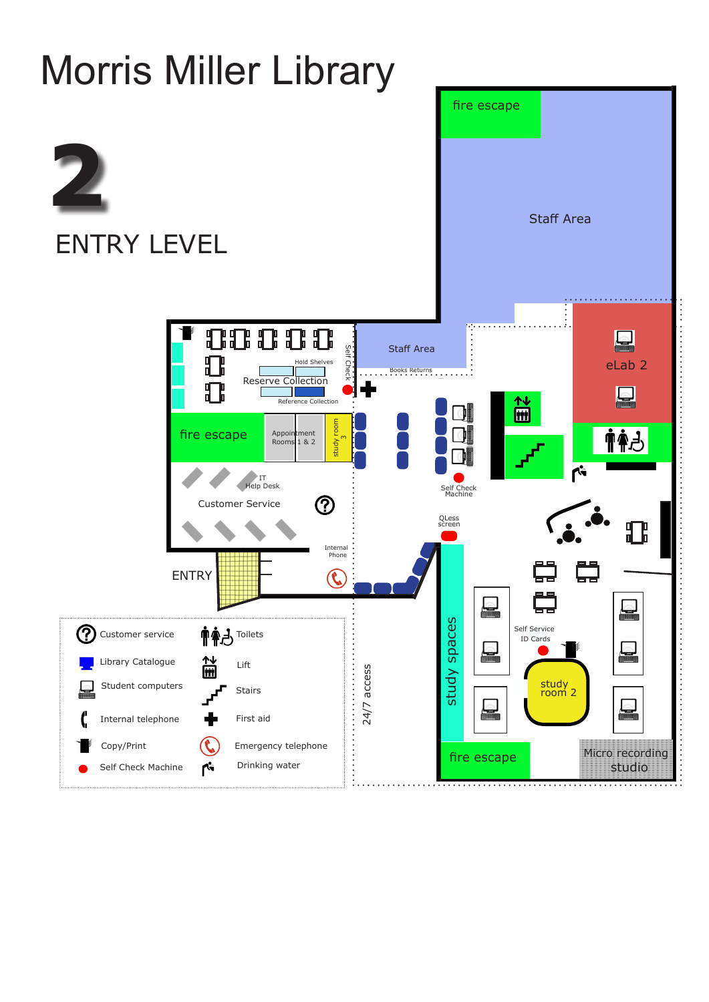

## Morris Miller Library fire escape **2** Staff Area ENTRY LEVEL  $\mathbf{E}$ 88888 **Staff Area** Self Check eLab 2 Hold Shelves Check Books Returns... Reserve Collection  ${\bf T}$ 简 Reference Collection study room study room 市全方 fire escape Appointment ო Rooms 1 & 2  $\overline{\mathbf{r}^2}$ IT Help Desk Self Check Machine  $\bigcirc$ Customer Service QLess screen 邪 Internal Phone ر<br>پہل ENTRY L  $\blacksquare$ study spaces study spaces Self Service **市全己 Toilets** <u>(?)</u> Customer service ID Cards 创新 Library Catalogue Lift  $24/7$  access 24/7 access Student computers study Stairs room 2  $\triangle$  $\Box$ Internal telephone First aid Copy/Print Emergency telephone  $\mathcal{C}$ Micro recording

studio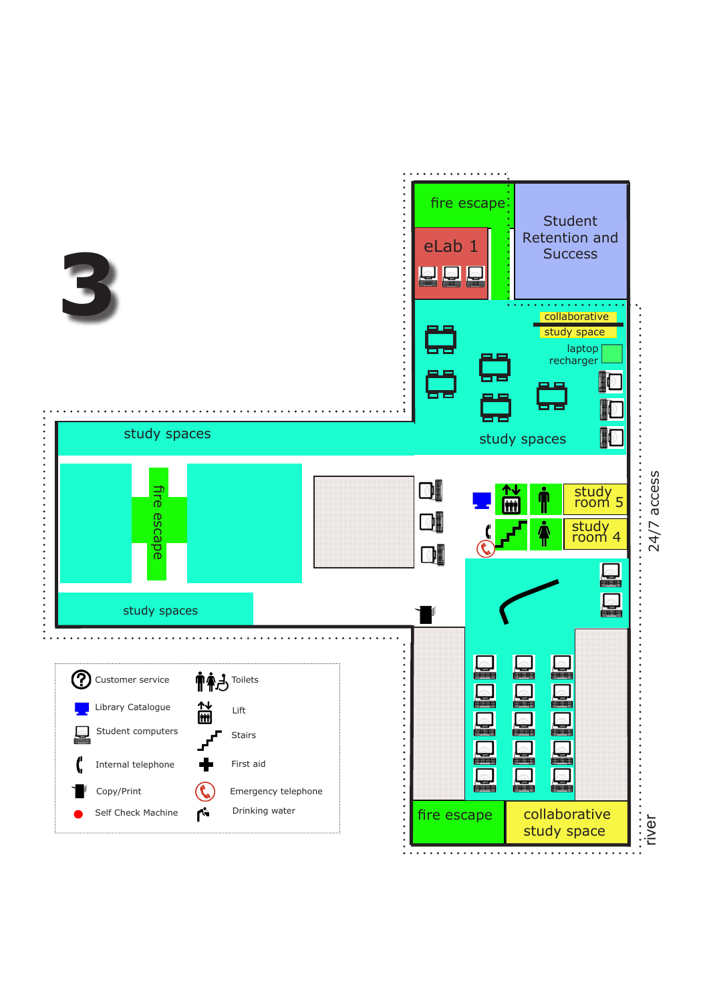



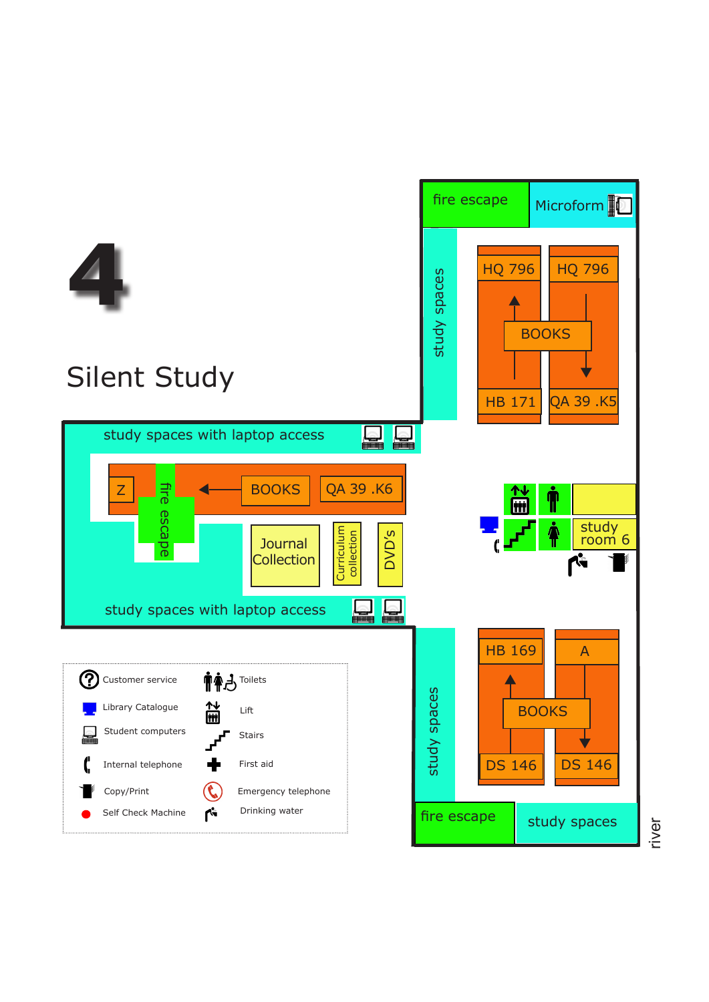

river

![](_page_2_Picture_2.jpeg)

![](_page_2_Picture_1.jpeg)